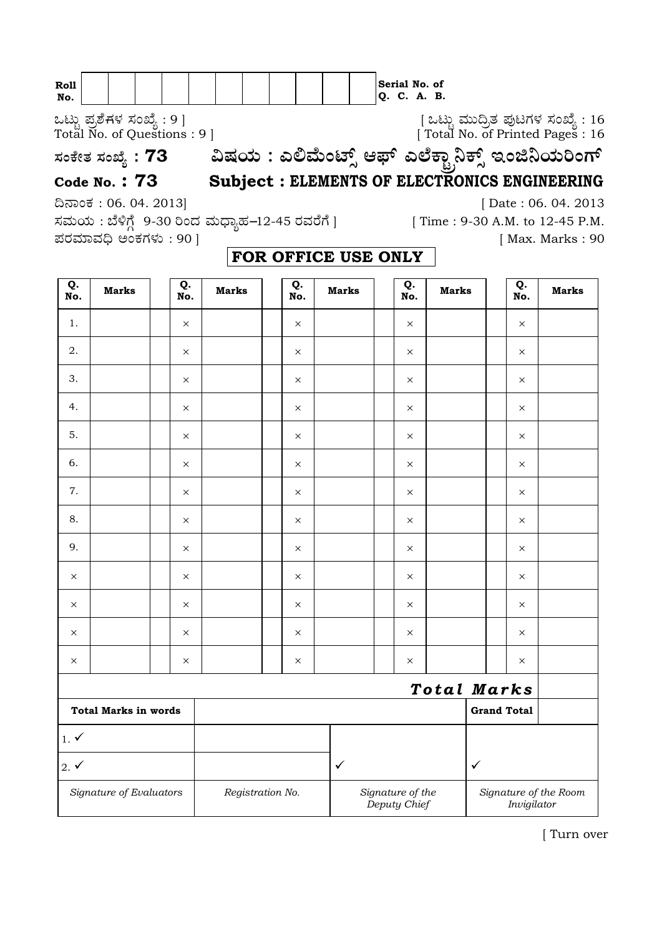| <b>Roll</b> |  |  |  |  |  |    | Serial No. of |  |
|-------------|--|--|--|--|--|----|---------------|--|
| No.         |  |  |  |  |  | Q. | C. A. B.      |  |

Jlflo Æ⁄√ÀÊ-V⁄◊⁄ —⁄MSÊ¿ : 9 ] [ Jlflo »⁄flfl¶√}⁄ Æ⁄'¥lV⁄◊⁄ —⁄MSÊ¿ : 16 Total No. of Questions : 9 ] [ Total No. of Printed Pages : 16

## **—⁄MOÊfi}⁄ —⁄MSÊ¿ : <sup>73</sup>…Œ⁄æ⁄fl : GΔ»ÊflMmÈ" A±È G≈ÊO¤oÒ¨OÈ" BMf¨æ⁄fl¬MVÈ Code No. : 73 Subject : ELEMENTS OF ELECTRONICS ENGINEERING**

—⁄»⁄flæ⁄fl : ∑ÊÿVÊX 9-30 ¬M•⁄ »⁄fl®¤¿'⁄-12-45 ¡⁄»⁄¡ÊVÊ ] [ Time : 9-30 A.M. to 12-45 P.M.  $\vec{a}$ ವರಮಾವಧಿ ಅಂಕಗಳು : 90 ]

¶´¤MO⁄ : 06. 04. 2013] [ Date : 06. 04. 2013

| Q.<br>No.                   | <b>Marks</b>            |  | Q.<br>No. | <b>Marks</b>     |                    | Q.<br>No. | <b>Marks</b> |  | Q.<br>No.                        | <b>Marks</b> |              | Q.<br>No.   | <b>Marks</b>          |
|-----------------------------|-------------------------|--|-----------|------------------|--------------------|-----------|--------------|--|----------------------------------|--------------|--------------|-------------|-----------------------|
| 1.                          |                         |  | $\times$  |                  |                    | $\times$  |              |  | $\times$                         |              |              | $\times$    |                       |
| 2.                          |                         |  | $\times$  |                  |                    | $\times$  |              |  | $\times$                         |              |              | $\times$    |                       |
| 3.                          |                         |  | $\times$  |                  |                    | $\times$  |              |  | $\times$                         |              |              | $\times$    |                       |
| 4.                          |                         |  | $\times$  |                  |                    | X         |              |  | $\times$                         |              |              | $\times$    |                       |
| 5.                          |                         |  | $\times$  |                  |                    | $\times$  |              |  | $\times$                         |              |              | $\times$    |                       |
| 6.                          |                         |  | $\times$  |                  |                    | $\times$  |              |  | $\times$                         |              |              | $\times$    |                       |
| 7.                          |                         |  | $\times$  |                  |                    | $\times$  |              |  | $\times$                         |              |              | $\times$    |                       |
| 8.                          |                         |  | $\times$  |                  |                    | X         |              |  | $\times$                         |              |              | $\times$    |                       |
| 9.                          |                         |  | $\times$  |                  |                    | $\times$  |              |  | $\times$                         |              |              | $\times$    |                       |
| $\times$                    |                         |  | $\times$  |                  |                    | $\times$  |              |  | $\times$                         |              |              | $\times$    |                       |
| $\times$                    |                         |  | $\times$  |                  |                    | $\times$  |              |  | $\times$                         |              |              | X           |                       |
| $\times$                    |                         |  | $\times$  |                  |                    | $\times$  |              |  | $\times$                         |              |              | X           |                       |
| $\times$                    |                         |  | $\times$  |                  |                    | X         |              |  | $\times$                         |              |              | $\times$    |                       |
|                             |                         |  |           |                  |                    |           |              |  |                                  |              |              | Total Marks |                       |
| <b>Total Marks in words</b> |                         |  |           |                  | <b>Grand Total</b> |           |              |  |                                  |              |              |             |                       |
| $1. \checkmark$             |                         |  |           |                  |                    |           |              |  |                                  |              |              |             |                       |
| $2. \checkmark$             |                         |  |           |                  |                    |           | $\checkmark$ |  |                                  |              | $\checkmark$ |             |                       |
|                             | Signature of Evaluators |  |           | Registration No. |                    |           |              |  | Signature of the<br>Deputy Chief |              |              | Invigilator | Signature of the Room |

## **FOR OFFICE USE ONLY**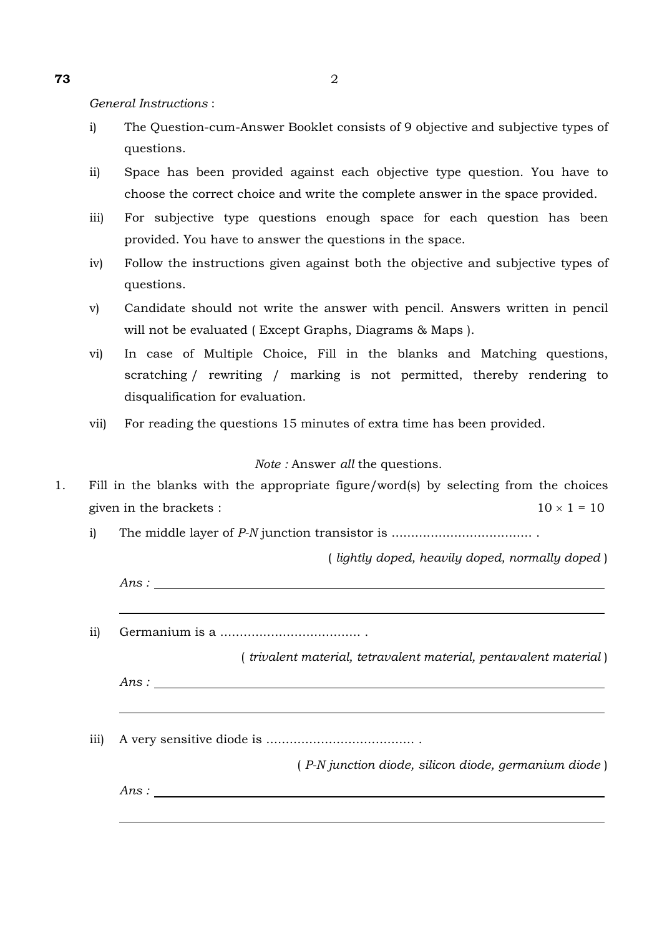*General Instructions* :

- i) The Question-cum-Answer Booklet consists of 9 objective and subjective types of questions.
- ii) Space has been provided against each objective type question. You have to choose the correct choice and write the complete answer in the space provided.
- iii) For subjective type questions enough space for each question has been provided. You have to answer the questions in the space.
- iv) Follow the instructions given against both the objective and subjective types of questions.
- v) Candidate should not write the answer with pencil. Answers written in pencil will not be evaluated ( Except Graphs, Diagrams & Maps ).
- vi) In case of Multiple Choice, Fill in the blanks and Matching questions, scratching / rewriting / marking is not permitted, thereby rendering to disqualification for evaluation.
- vii) For reading the questions 15 minutes of extra time has been provided.

## *Note :* Answer *all* the questions.

- 1. Fill in the blanks with the appropriate figure/word(s) by selecting from the choices given in the brackets :  $10 \times 1 = 10$ 
	- i) The middle layer of *P-N* junction transistor is .................................... .

( *lightly doped, heavily doped, normally doped* )

| ( <i>trivalent material, tetravalent material, pentavalent material</i> ) |
|---------------------------------------------------------------------------|
| Ans:                                                                      |
|                                                                           |
|                                                                           |
| (P-N junction diode, silicon diode, germanium diode)                      |
| Ans:                                                                      |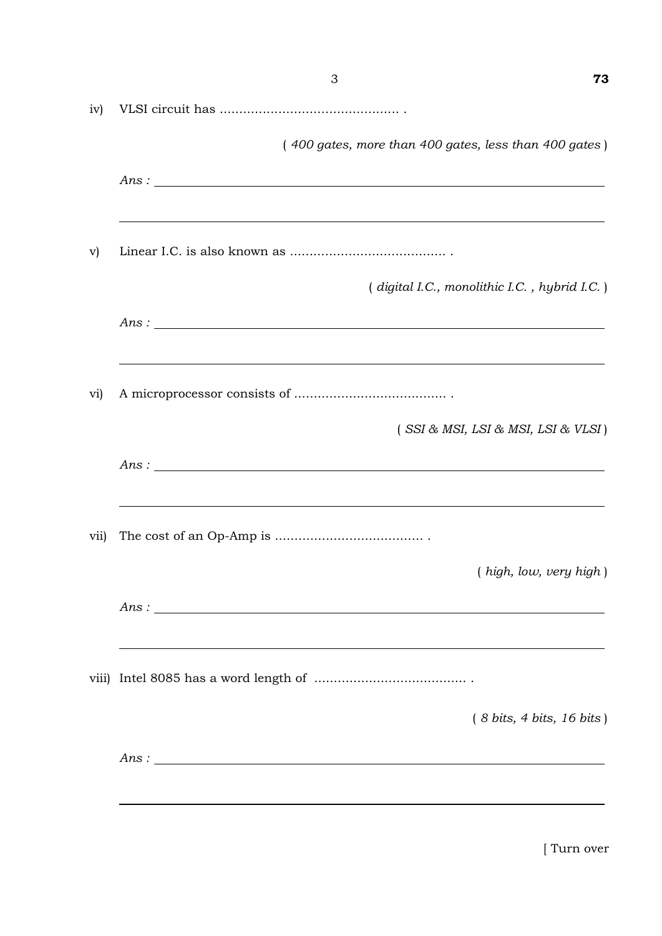| iv)          |                                                                                          |
|--------------|------------------------------------------------------------------------------------------|
|              | (400 gates, more than 400 gates, less than 400 gates)                                    |
|              | Ans:                                                                                     |
| $\mathbf{v}$ |                                                                                          |
|              | (digital I.C., monolithic I.C., hybrid I.C.)                                             |
|              | Ans:<br>,我们也不会有一个人的人,我们也不会有一个人的人,我们也不会有一个人的人,我们也不会有一个人的人。""我们的人,我们也不会有一个人的人,我们也不会有一个人的人, |
| vi)          |                                                                                          |
|              | (SSI & MSI, LSI & MSI, LSI & VLSI)                                                       |
|              | Ans:<br>,我们也不会有一个人的人,我们也不会有一个人的人,我们也不会有一个人的人。""我们,我们也不会有一个人的人,我们也不会有一个人的人,我们也不会有一个人的人,我们 |
| vii)         |                                                                                          |
|              | (high, low, very high)                                                                   |
|              | Ans:                                                                                     |
|              |                                                                                          |
|              | $(8 \text{ bits}, 4 \text{ bits}, 16 \text{ bits})$                                      |
|              | Ans:                                                                                     |
|              |                                                                                          |

3 **73**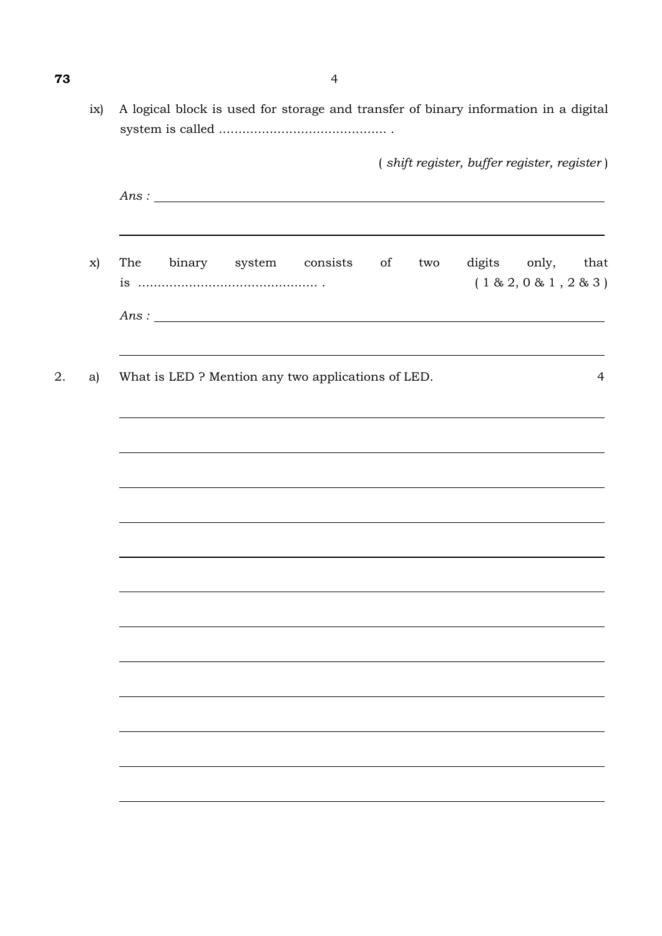|    |    | (shift register, buffer register, register)                                                   |
|----|----|-----------------------------------------------------------------------------------------------|
|    |    | Ans:                                                                                          |
|    | x) | The binary system consists<br>digits only, that<br>of<br>two<br>(1 & 2, 0 & 1, 2 & 3)<br>Ans: |
| 2. | a) | What is LED ? Mention any two applications of LED.<br>4                                       |
|    |    |                                                                                               |
|    |    | ,我们也不会有什么。""我们的人,我们也不会有什么?""我们的人,我们也不会有什么?""我们的人,我们也不会有什么?""我们的人,我们也不会有什么?""我们的人              |
|    |    | ,我们也不会有什么。""我们的人,我们也不会有什么?""我们的人,我们也不会有什么?""我们的人,我们也不会有什么?""我们的人,我们也不会有什么?""我们的人              |
|    |    |                                                                                               |
|    |    |                                                                                               |
|    |    |                                                                                               |
|    |    |                                                                                               |
|    |    |                                                                                               |

**73** 4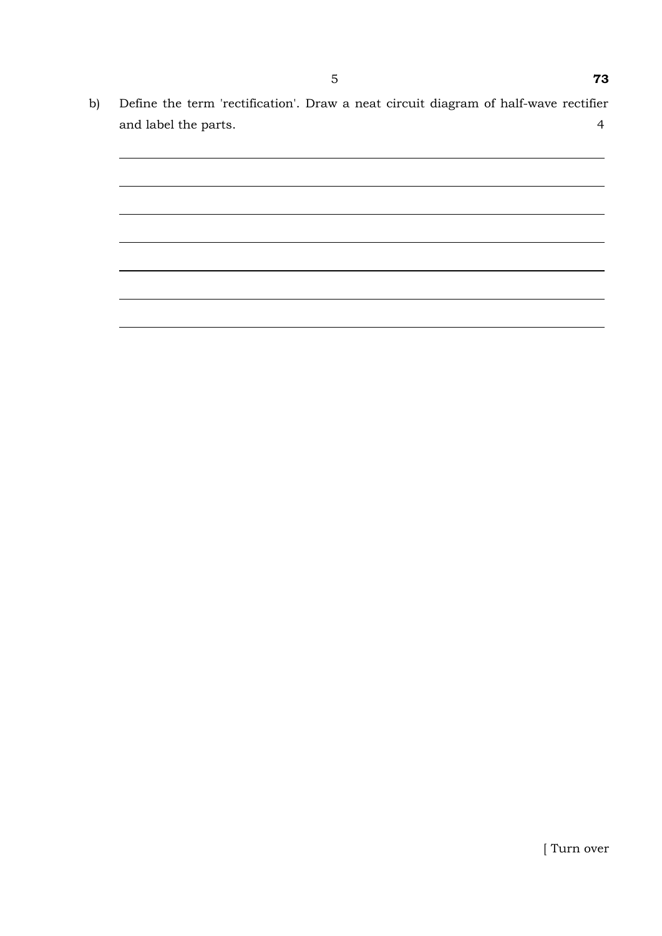b) Define the term 'rectification'. Draw a neat circuit diagram of half-wave rectifier and label the parts. 4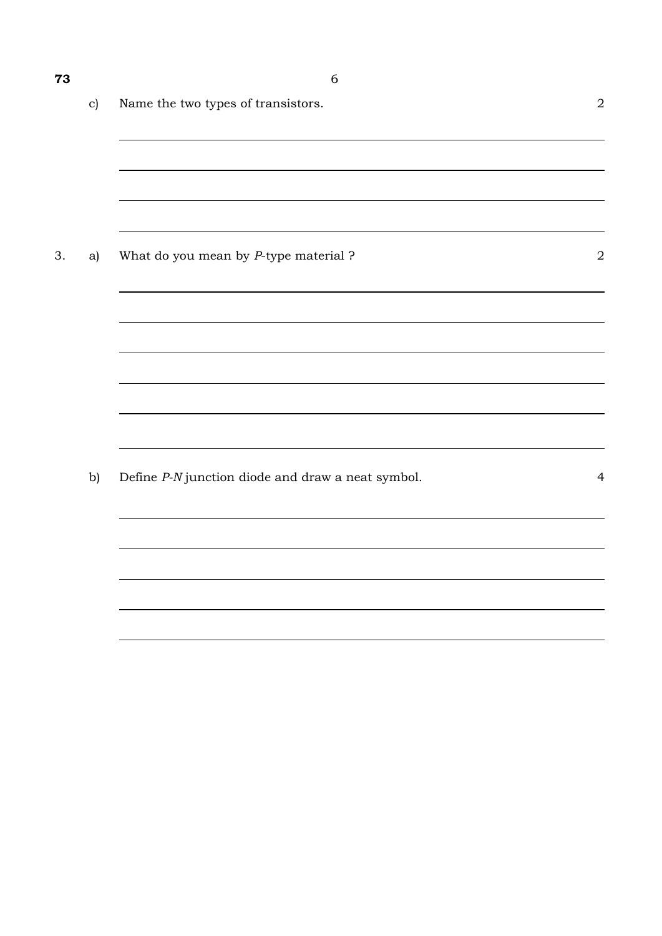| 73 |               | 6                                     |                |
|----|---------------|---------------------------------------|----------------|
|    | $\mathbf{c})$ | Name the two types of transistors.    | $\overline{2}$ |
|    |               |                                       |                |
|    |               |                                       |                |
| 3. | a)            | What do you mean by P-type material ? | $\overline{2}$ |
|    |               |                                       |                |
|    |               |                                       |                |
|    |               |                                       |                |

b) Define *P-N* junction diode and draw a neat symbol. 4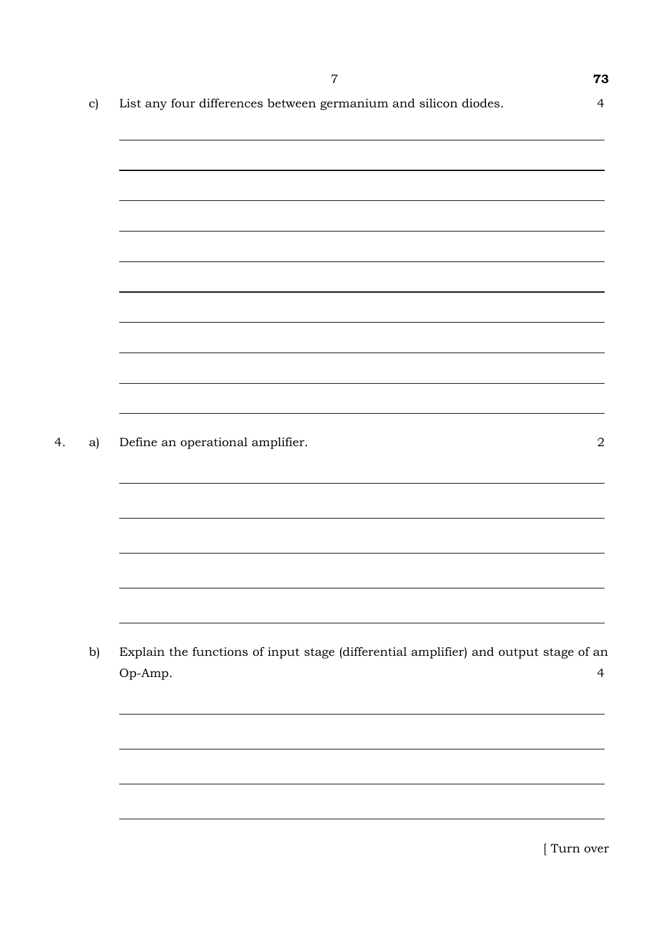|               | $\overline{7}$                                                                                  | 73             |
|---------------|-------------------------------------------------------------------------------------------------|----------------|
| $\mathbf{c})$ | List any four differences between germanium and silicon diodes.                                 | $\overline{4}$ |
|               |                                                                                                 |                |
|               |                                                                                                 |                |
|               |                                                                                                 |                |
|               |                                                                                                 |                |
|               |                                                                                                 |                |
|               |                                                                                                 |                |
|               |                                                                                                 |                |
|               |                                                                                                 |                |
|               |                                                                                                 |                |
|               |                                                                                                 |                |
| a)            | Define an operational amplifier.                                                                | $\sqrt{2}$     |
|               |                                                                                                 |                |
|               |                                                                                                 |                |
|               |                                                                                                 |                |
|               |                                                                                                 |                |
|               |                                                                                                 |                |
|               |                                                                                                 |                |
|               |                                                                                                 |                |
| b)            | Explain the functions of input stage (differential amplifier) and output stage of an<br>Op-Amp. | $\overline{4}$ |
|               |                                                                                                 |                |
|               |                                                                                                 |                |
|               |                                                                                                 |                |
|               |                                                                                                 |                |
|               |                                                                                                 |                |
|               |                                                                                                 |                |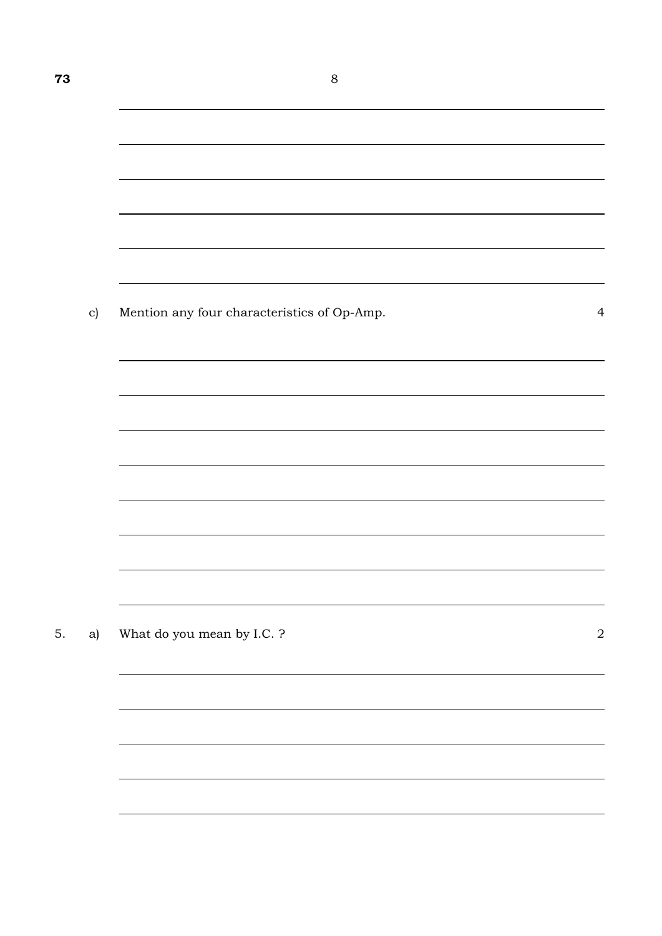<u> 1989 - Johann Stoff, amerikansk politiker (\* 1908)</u>

|  | Mention any four characteristics of Op-Amp. |  |
|--|---------------------------------------------|--|
|  |                                             |  |

5. a) What do you mean by I.C. ? 2

 $\overline{\phantom{0}}$ 

L,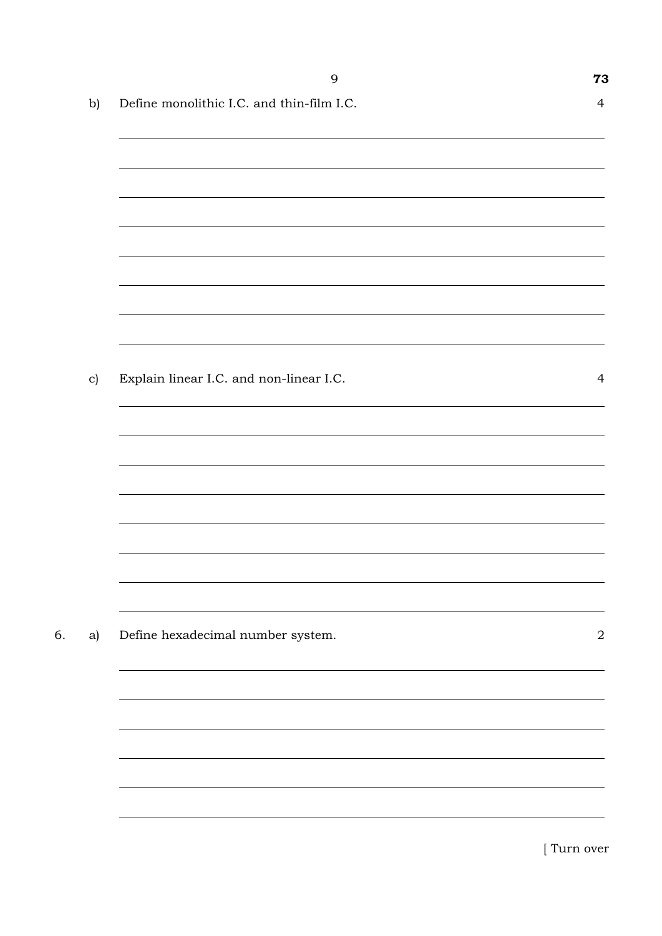|               | 9                                         | 73             |
|---------------|-------------------------------------------|----------------|
| b)            | Define monolithic I.C. and thin-film I.C. | $\overline{4}$ |
|               |                                           |                |
|               |                                           |                |
|               |                                           |                |
|               |                                           |                |
|               |                                           |                |
|               |                                           |                |
|               |                                           |                |
|               |                                           |                |
| $\mathbf{c})$ | Explain linear I.C. and non-linear I.C.   | $\overline{4}$ |
|               |                                           |                |
|               |                                           |                |
|               |                                           |                |
|               |                                           |                |
|               |                                           |                |
|               |                                           |                |
|               |                                           |                |
| a)            | Define hexadecimal number system.         | $\sqrt{2}$     |
|               |                                           |                |
|               |                                           |                |
|               |                                           |                |
|               |                                           |                |
|               |                                           |                |
|               |                                           |                |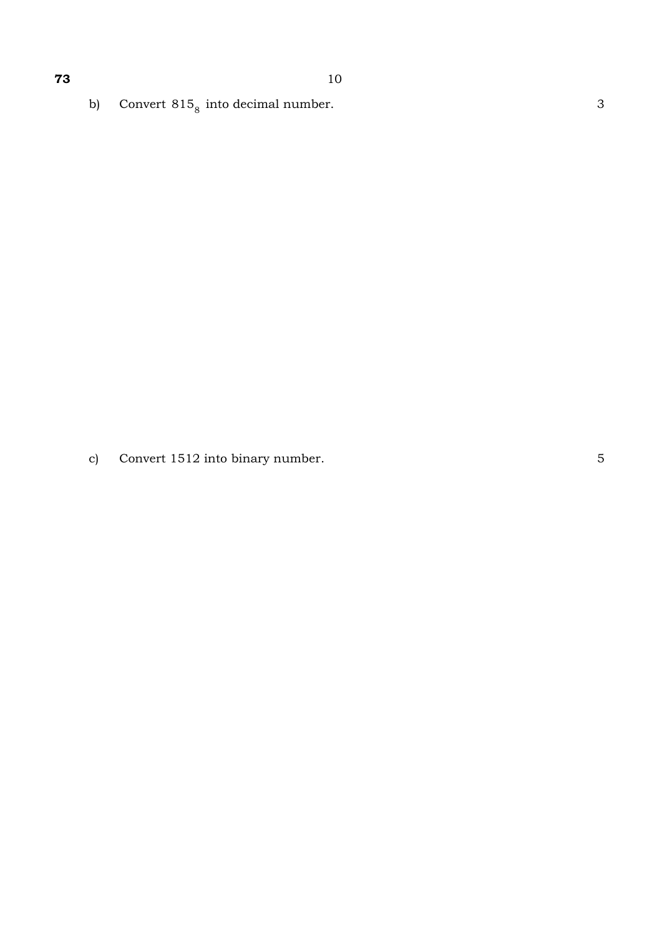b) Convert  $815<sub>8</sub>$  into decimal number. 3

c) Convert 1512 into binary number. 5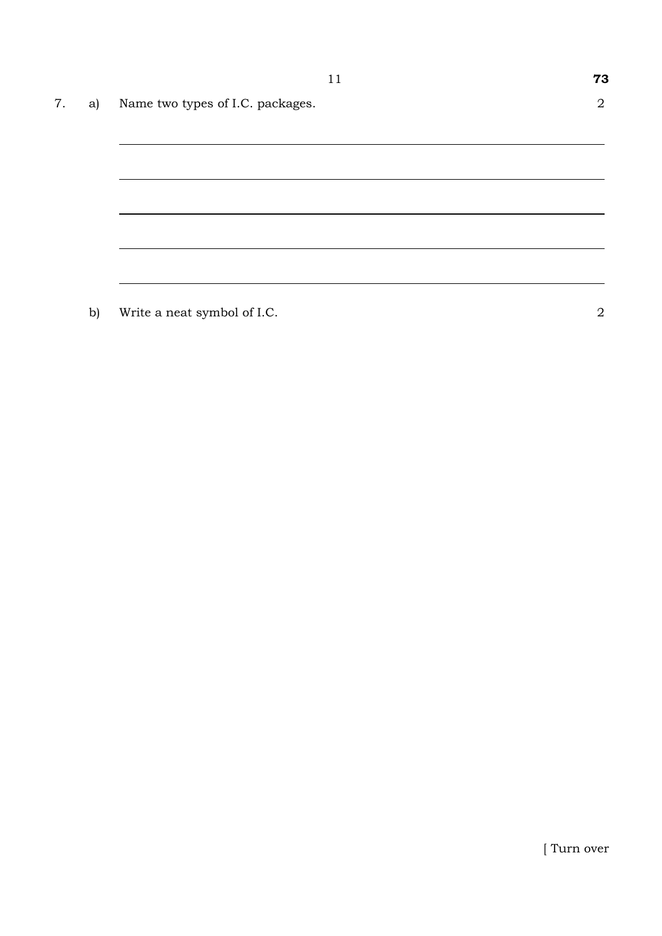|    |    |                                  | 11 | 73             |
|----|----|----------------------------------|----|----------------|
| 7. | a) | Name two types of I.C. packages. |    | $\overline{2}$ |
|    |    |                                  |    |                |
|    |    |                                  |    |                |
|    |    |                                  |    |                |
|    |    |                                  |    |                |
|    |    |                                  |    |                |
|    |    |                                  |    |                |

b) Write a neat symbol of I.C. 2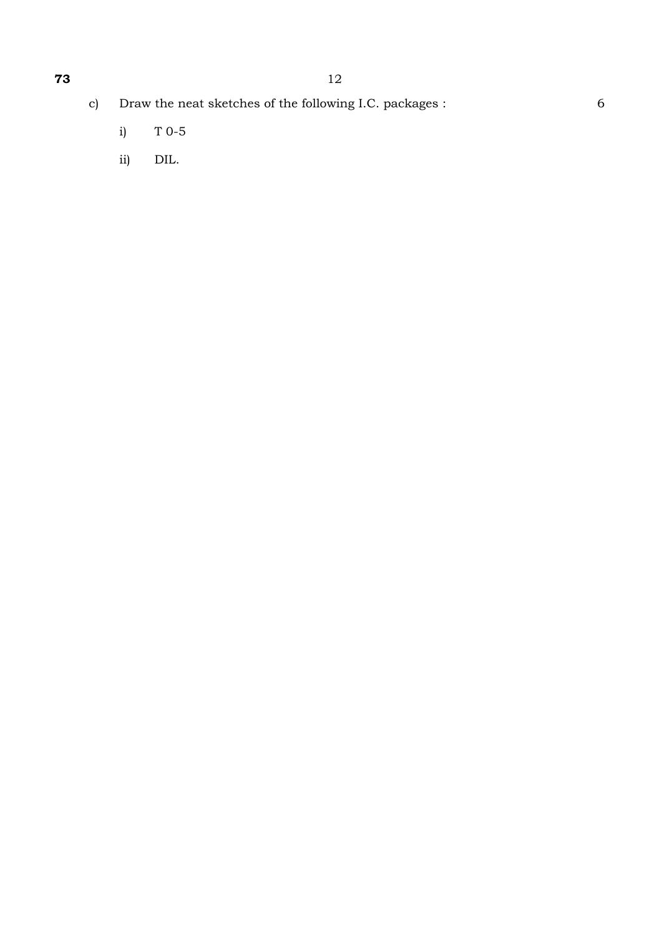- i) T 0-5
- ii) DIL.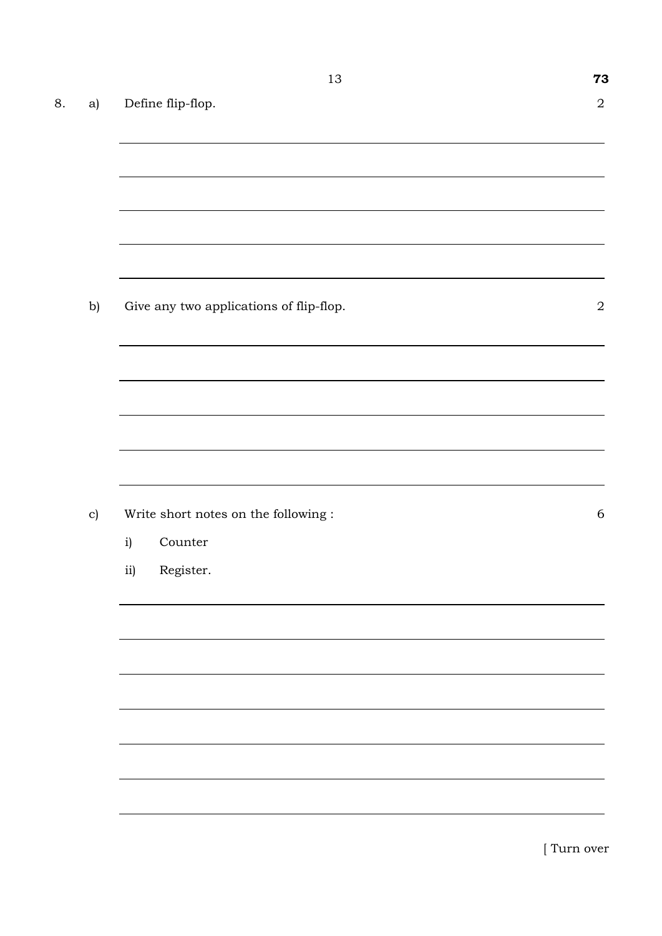| 8. | a)            |                                      | Define flip-flop.                       | $\sqrt{2}$  |  |  |  |
|----|---------------|--------------------------------------|-----------------------------------------|-------------|--|--|--|
|    |               |                                      |                                         |             |  |  |  |
|    |               |                                      |                                         |             |  |  |  |
|    |               |                                      |                                         |             |  |  |  |
|    |               |                                      |                                         |             |  |  |  |
|    | b)            |                                      | Give any two applications of flip-flop. | $\sqrt{2}$  |  |  |  |
|    |               |                                      |                                         |             |  |  |  |
|    |               |                                      |                                         |             |  |  |  |
|    |               |                                      |                                         |             |  |  |  |
|    | $\mathbf{c})$ | Write short notes on the following : |                                         |             |  |  |  |
|    |               | i)                                   | Counter                                 | $\sqrt{6}$  |  |  |  |
|    |               | ii)                                  | Register.                               |             |  |  |  |
|    |               |                                      |                                         |             |  |  |  |
|    |               |                                      |                                         |             |  |  |  |
|    |               |                                      |                                         |             |  |  |  |
|    |               |                                      |                                         |             |  |  |  |
|    |               |                                      |                                         |             |  |  |  |
|    |               |                                      |                                         | [ Turn over |  |  |  |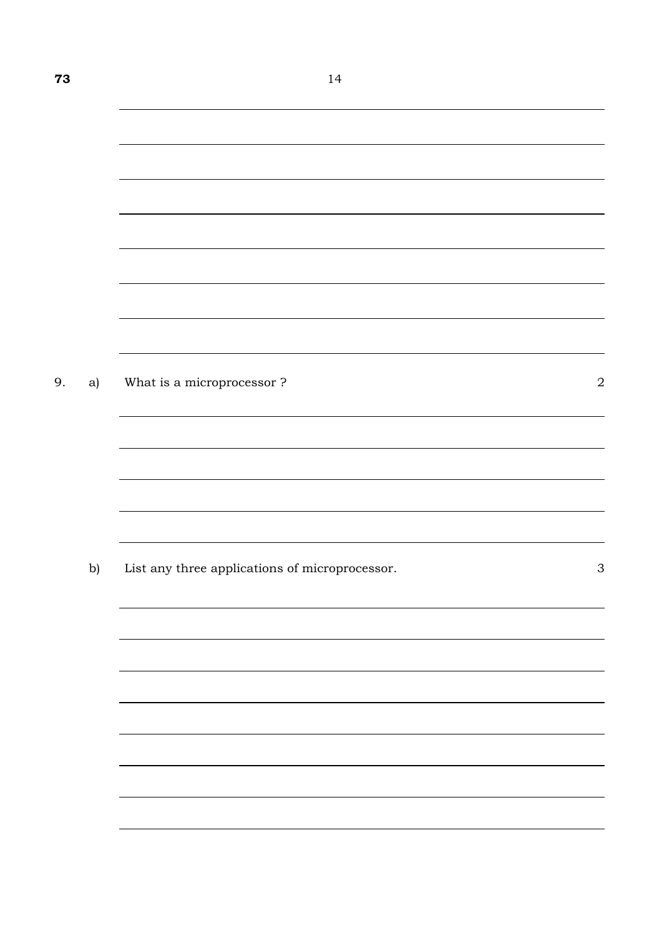| 9. | a) | What is a microprocessor ?                     | $\boldsymbol{2}$          |
|----|----|------------------------------------------------|---------------------------|
|    |    |                                                |                           |
|    |    |                                                |                           |
|    |    |                                                |                           |
|    |    |                                                |                           |
|    |    |                                                |                           |
|    |    |                                                |                           |
|    | b) | List any three applications of microprocessor. | $\ensuremath{\mathsf{3}}$ |
|    |    |                                                |                           |
|    |    |                                                |                           |
|    |    |                                                |                           |
|    |    |                                                |                           |
|    |    |                                                |                           |
|    |    |                                                |                           |
|    |    |                                                |                           |
|    |    |                                                |                           |
|    |    |                                                |                           |
|    |    |                                                |                           |